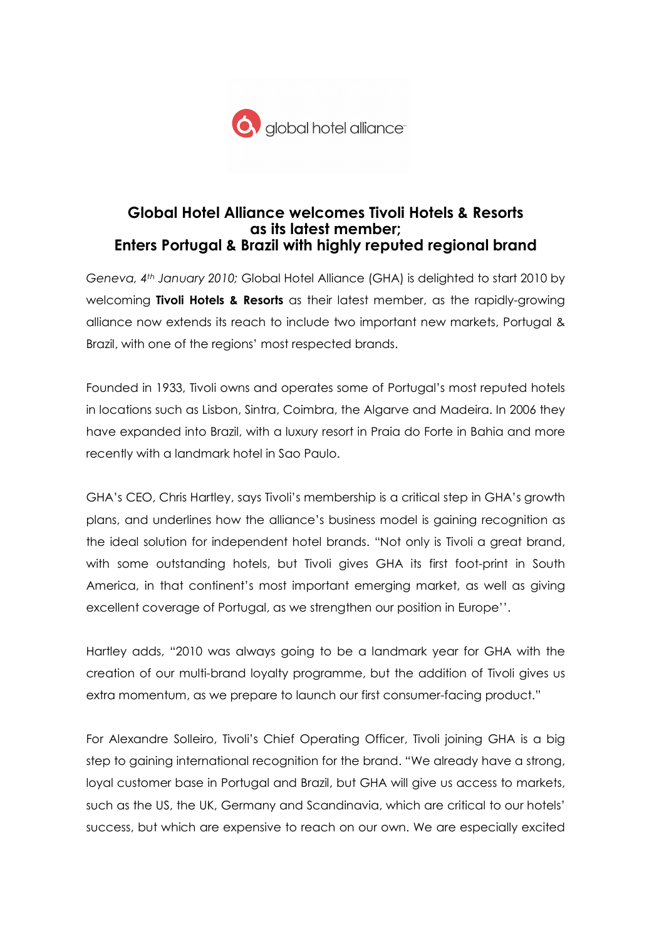

# Global Hotel Alliance welcomes Tivoli Hotels & Resorts as its latest member; Enters Portugal & Brazil with highly reputed regional brand

Geneva, 4th January 2010; Global Hotel Alliance (GHA) is delighted to start 2010 by welcoming Tivoli Hotels & Resorts as their latest member, as the rapidly-growing alliance now extends its reach to include two important new markets, Portugal & Brazil, with one of the regions' most respected brands.

Founded in 1933, Tivoli owns and operates some of Portugal's most reputed hotels in locations such as Lisbon, Sintra, Coimbra, the Algarve and Madeira. In 2006 they have expanded into Brazil, with a luxury resort in Praia do Forte in Bahia and more recently with a landmark hotel in Sao Paulo.

GHA's CEO, Chris Hartley, says Tivoli's membership is a critical step in GHA's growth plans, and underlines how the alliance's business model is gaining recognition as the ideal solution for independent hotel brands. "Not only is Tivoli a great brand, with some outstanding hotels, but Tivoli gives GHA its first foot-print in South America, in that continent's most important emerging market, as well as giving excellent coverage of Portugal, as we strengthen our position in Europe''.

Hartley adds, "2010 was always going to be a landmark year for GHA with the creation of our multi-brand loyalty programme, but the addition of Tivoli gives us extra momentum, as we prepare to launch our first consumer-facing product."

For Alexandre Solleiro, Tivoli's Chief Operating Officer, Tivoli joining GHA is a big step to gaining international recognition for the brand. "We already have a strong, loyal customer base in Portugal and Brazil, but GHA will give us access to markets, such as the US, the UK, Germany and Scandinavia, which are critical to our hotels' success, but which are expensive to reach on our own. We are especially excited